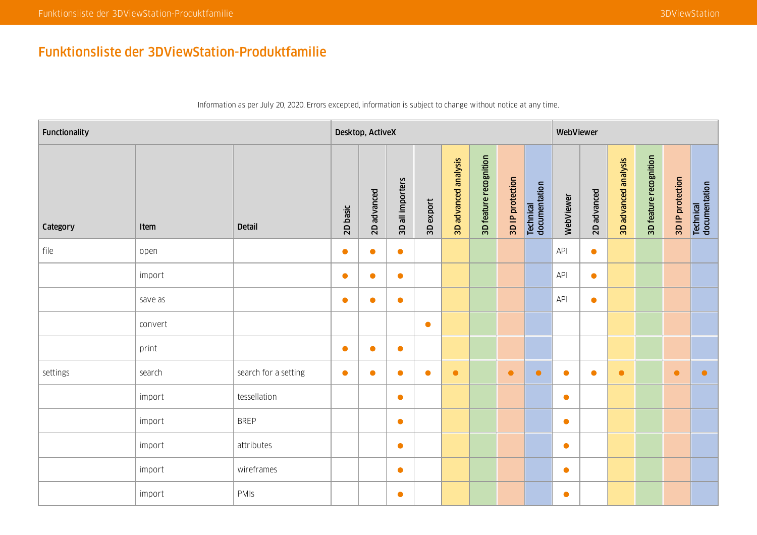## Funktionsliste der 3DViewStation-Produktfamilie

| Functionality |         |                      |           | Desktop, ActiveX |                  |           |                      |                        |                  |                            | WebViewer |             |                      |                        |                  |                            |
|---------------|---------|----------------------|-----------|------------------|------------------|-----------|----------------------|------------------------|------------------|----------------------------|-----------|-------------|----------------------|------------------------|------------------|----------------------------|
| Category      | Item    | <b>Detail</b>        | 2D basic  | 2D advanced      | 3D all importers | 3D export | 3D advanced analysis | 3D feature recognition | 3D IP protection | Technical<br>documentation | WebViewer | 2D advanced | 3D advanced analysis | 3D feature recognition | 3D IP protection | Technical<br>documentation |
| file          | open    |                      | $\bullet$ | $\bullet$        | $\bullet$        |           |                      |                        |                  |                            | API       | $\bullet$   |                      |                        |                  |                            |
|               | import  |                      | $\bullet$ | $\bullet$        | $\bullet$        |           |                      |                        |                  |                            | API       | $\bullet$   |                      |                        |                  |                            |
|               | save as |                      | $\bullet$ | $\bullet$        | $\bullet$        |           |                      |                        |                  |                            | API       | $\bullet$   |                      |                        |                  |                            |
|               | convert |                      |           |                  |                  | $\bullet$ |                      |                        |                  |                            |           |             |                      |                        |                  |                            |
|               | print   |                      | $\bullet$ | $\bullet$        | $\bullet$        |           |                      |                        |                  |                            |           |             |                      |                        |                  |                            |
| settings      | search  | search for a setting | $\bullet$ | $\bullet$        | $\bullet$        | $\bullet$ | $\bullet$            |                        | $\bullet$        | $\bullet$                  | $\bullet$ | $\bullet$   | $\bullet$            |                        | $\bullet$        | $\bullet$                  |
|               | import  | tessellation         |           |                  | $\bullet$        |           |                      |                        |                  |                            | $\bullet$ |             |                      |                        |                  |                            |
|               | import  | <b>BREP</b>          |           |                  | $\bullet$        |           |                      |                        |                  |                            | $\bullet$ |             |                      |                        |                  |                            |
|               | import  | attributes           |           |                  | $\bullet$        |           |                      |                        |                  |                            | $\bullet$ |             |                      |                        |                  |                            |
|               | import  | wireframes           |           |                  | $\bullet$        |           |                      |                        |                  |                            | $\bullet$ |             |                      |                        |                  |                            |
|               | import  | PMIS                 |           |                  | $\bullet$        |           |                      |                        |                  |                            | $\bullet$ |             |                      |                        |                  |                            |

Information as per July 20, 2020. Errors excepted, information is subject to change without notice at any time.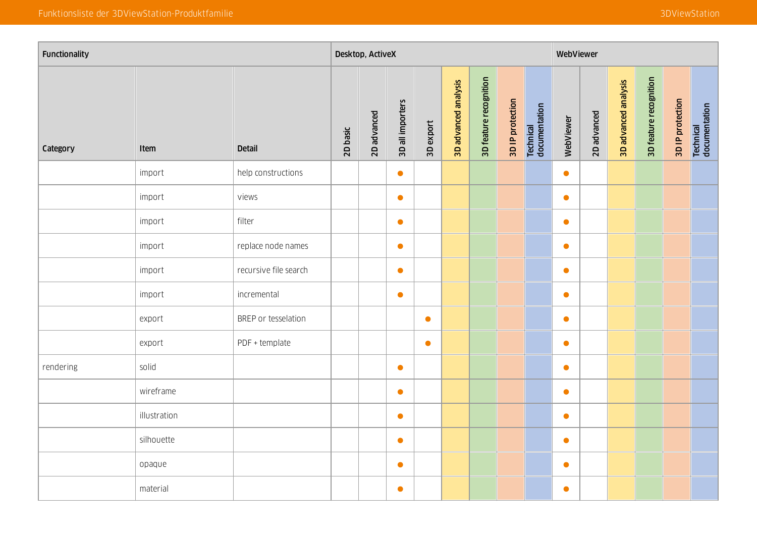| Functionality |              |                       |          | Desktop, ActiveX |                  |           |                      |                        |                  |                            | WebViewer |             |                      |                        |                  |                                   |
|---------------|--------------|-----------------------|----------|------------------|------------------|-----------|----------------------|------------------------|------------------|----------------------------|-----------|-------------|----------------------|------------------------|------------------|-----------------------------------|
| Category      | Item         | <b>Detail</b>         | 2D basic | 2D advanced      | 3D all importers | 3D export | 3D advanced analysis | 3D feature recognition | 3D IP protection | Technical<br>documentation | WebViewer | 2D advanced | 3D advanced analysis | 3D feature recognition | 3D IP protection | <b>Technical</b><br>documentation |
|               | import       | help constructions    |          |                  | $\bullet$        |           |                      |                        |                  |                            | $\bullet$ |             |                      |                        |                  |                                   |
|               | import       | views                 |          |                  | $\bullet$        |           |                      |                        |                  |                            | $\bullet$ |             |                      |                        |                  |                                   |
|               | import       | filter                |          |                  | $\bullet$        |           |                      |                        |                  |                            | $\bullet$ |             |                      |                        |                  |                                   |
|               | import       | replace node names    |          |                  | $\bullet$        |           |                      |                        |                  |                            | $\bullet$ |             |                      |                        |                  |                                   |
|               | import       | recursive file search |          |                  | $\bullet$        |           |                      |                        |                  |                            | $\bullet$ |             |                      |                        |                  |                                   |
|               | import       | incremental           |          |                  | $\bullet$        |           |                      |                        |                  |                            | $\bullet$ |             |                      |                        |                  |                                   |
|               | export       | BREP or tesselation   |          |                  |                  | $\bullet$ |                      |                        |                  |                            | $\bullet$ |             |                      |                        |                  |                                   |
|               | export       | PDF + template        |          |                  |                  | $\bullet$ |                      |                        |                  |                            | $\bullet$ |             |                      |                        |                  |                                   |
| rendering     | solid        |                       |          |                  | $\bullet$        |           |                      |                        |                  |                            | $\bullet$ |             |                      |                        |                  |                                   |
|               | wireframe    |                       |          |                  | $\bullet$        |           |                      |                        |                  |                            | $\bullet$ |             |                      |                        |                  |                                   |
|               | illustration |                       |          |                  | $\bullet$        |           |                      |                        |                  |                            | $\bullet$ |             |                      |                        |                  |                                   |
|               | silhouette   |                       |          |                  | $\bullet$        |           |                      |                        |                  |                            | $\bullet$ |             |                      |                        |                  |                                   |
|               | opaque       |                       |          |                  | $\bullet$        |           |                      |                        |                  |                            | $\bullet$ |             |                      |                        |                  |                                   |
|               | material     |                       |          |                  | $\bullet$        |           |                      |                        |                  |                            | $\bullet$ |             |                      |                        |                  |                                   |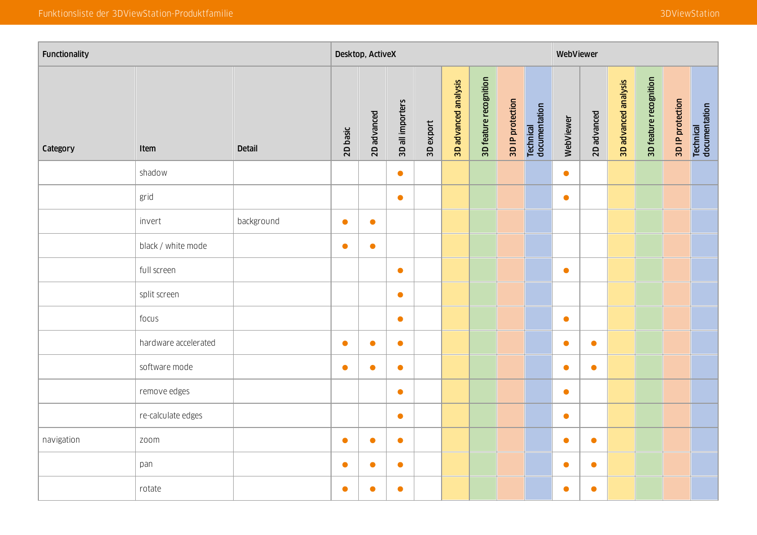| Functionality |                      |               |           | Desktop, ActiveX |                  |           |                      |                        |                  |                            | WebViewer |             |                      |                        |                  |                                   |
|---------------|----------------------|---------------|-----------|------------------|------------------|-----------|----------------------|------------------------|------------------|----------------------------|-----------|-------------|----------------------|------------------------|------------------|-----------------------------------|
| Category      | Item                 | <b>Detail</b> | 2D basic  | 2D advanced      | 3D all importers | 3D export | 3D advanced analysis | 3D feature recognition | 3D IP protection | Technical<br>documentation | WebViewer | 2D advanced | 3D advanced analysis | 3D feature recognition | 3D IP protection | <b>Technical</b><br>documentation |
|               | shadow               |               |           |                  | $\bullet$        |           |                      |                        |                  |                            | $\bullet$ |             |                      |                        |                  |                                   |
|               | grid                 |               |           |                  | $\bullet$        |           |                      |                        |                  |                            | $\bullet$ |             |                      |                        |                  |                                   |
|               | invert               | background    | $\bullet$ | $\bullet$        |                  |           |                      |                        |                  |                            |           |             |                      |                        |                  |                                   |
|               | black / white mode   |               | $\bullet$ | $\bullet$        |                  |           |                      |                        |                  |                            |           |             |                      |                        |                  |                                   |
|               | full screen          |               |           |                  | $\bullet$        |           |                      |                        |                  |                            | $\bullet$ |             |                      |                        |                  |                                   |
|               | split screen         |               |           |                  | $\bullet$        |           |                      |                        |                  |                            |           |             |                      |                        |                  |                                   |
|               | focus                |               |           |                  | $\bullet$        |           |                      |                        |                  |                            | $\bullet$ |             |                      |                        |                  |                                   |
|               | hardware accelerated |               | $\bullet$ | $\bullet$        | $\bullet$        |           |                      |                        |                  |                            | $\bullet$ | $\bullet$   |                      |                        |                  |                                   |
|               | software mode        |               | $\bullet$ | $\bullet$        | $\bullet$        |           |                      |                        |                  |                            | $\bullet$ | $\bullet$   |                      |                        |                  |                                   |
|               | remove edges         |               |           |                  | $\bullet$        |           |                      |                        |                  |                            | $\bullet$ |             |                      |                        |                  |                                   |
|               | re-calculate edges   |               |           |                  | $\bullet$        |           |                      |                        |                  |                            | $\bullet$ |             |                      |                        |                  |                                   |
| navigation    | zoom                 |               | $\bullet$ | $\bullet$        | $\bullet$        |           |                      |                        |                  |                            | $\bullet$ | $\bullet$   |                      |                        |                  |                                   |
|               | pan                  |               | $\bullet$ | $\bullet$        | $\bullet$        |           |                      |                        |                  |                            | $\bullet$ | $\bullet$   |                      |                        |                  |                                   |
|               | rotate               |               | $\bullet$ | $\bullet$        | $\bullet$        |           |                      |                        |                  |                            | $\bullet$ | $\bullet$   |                      |                        |                  |                                   |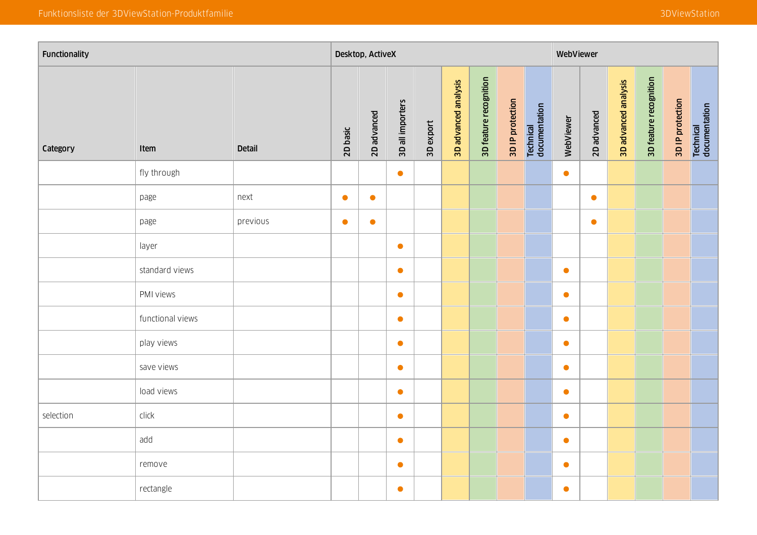| Functionality |                  |               |           | Desktop, ActiveX |                  |           |                      |                        |                  |                            | WebViewer |             |                      |                        |                  |                                   |
|---------------|------------------|---------------|-----------|------------------|------------------|-----------|----------------------|------------------------|------------------|----------------------------|-----------|-------------|----------------------|------------------------|------------------|-----------------------------------|
| Category      | Item             | <b>Detail</b> | 2D basic  | 2D advanced      | 3D all importers | 3D export | 3D advanced analysis | 3D feature recognition | 3D IP protection | Technical<br>documentation | WebViewer | 2D advanced | 3D advanced analysis | 3D feature recognition | 3D IP protection | <b>Technical</b><br>documentation |
|               | fly through      |               |           |                  | $\bullet$        |           |                      |                        |                  |                            | $\bullet$ |             |                      |                        |                  |                                   |
|               | page             | next          | $\bullet$ | $\bullet$        |                  |           |                      |                        |                  |                            |           | $\bullet$   |                      |                        |                  |                                   |
|               | page             | previous      | $\bullet$ | $\bullet$        |                  |           |                      |                        |                  |                            |           | $\bullet$   |                      |                        |                  |                                   |
|               | layer            |               |           |                  | $\bullet$        |           |                      |                        |                  |                            |           |             |                      |                        |                  |                                   |
|               | standard views   |               |           |                  | $\bullet$        |           |                      |                        |                  |                            | $\bullet$ |             |                      |                        |                  |                                   |
|               | PMI views        |               |           |                  | $\bullet$        |           |                      |                        |                  |                            | $\bullet$ |             |                      |                        |                  |                                   |
|               | functional views |               |           |                  | $\bullet$        |           |                      |                        |                  |                            | $\bullet$ |             |                      |                        |                  |                                   |
|               | play views       |               |           |                  | $\bullet$        |           |                      |                        |                  |                            | $\bullet$ |             |                      |                        |                  |                                   |
|               | save views       |               |           |                  | $\bullet$        |           |                      |                        |                  |                            | $\bullet$ |             |                      |                        |                  |                                   |
|               | load views       |               |           |                  | $\bullet$        |           |                      |                        |                  |                            | $\bullet$ |             |                      |                        |                  |                                   |
| selection     | click            |               |           |                  | $\bullet$        |           |                      |                        |                  |                            | $\bullet$ |             |                      |                        |                  |                                   |
|               | add              |               |           |                  | $\bullet$        |           |                      |                        |                  |                            | $\bullet$ |             |                      |                        |                  |                                   |
|               | remove           |               |           |                  | $\bullet$        |           |                      |                        |                  |                            | $\bullet$ |             |                      |                        |                  |                                   |
|               | rectangle        |               |           |                  | $\bullet$        |           |                      |                        |                  |                            | $\bullet$ |             |                      |                        |                  |                                   |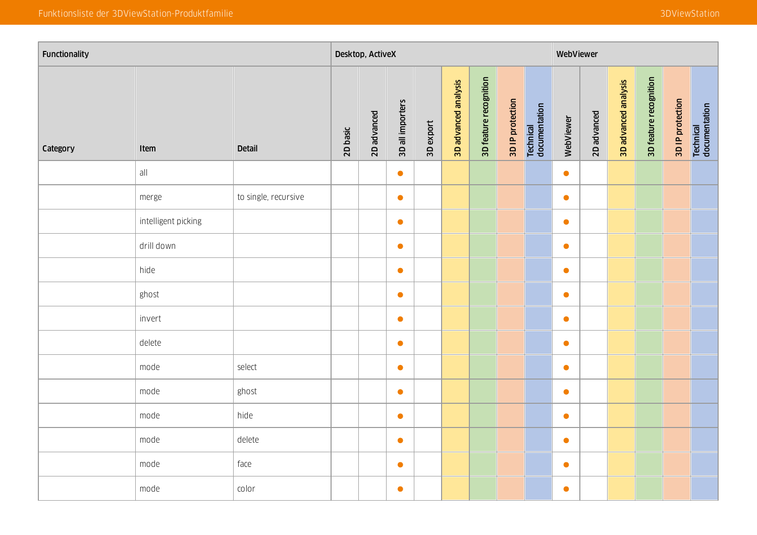| Functionality |                     |                      |          | Desktop, ActiveX |                  |           |                      |                        |                  |                            | WebViewer |             |                      |                        |                  |                            |
|---------------|---------------------|----------------------|----------|------------------|------------------|-----------|----------------------|------------------------|------------------|----------------------------|-----------|-------------|----------------------|------------------------|------------------|----------------------------|
| Category      | Item                | <b>Detail</b>        | 2D basic | 2D advanced      | 3D all importers | 3D export | 3D advanced analysis | 3D feature recognition | 3D IP protection | Technical<br>documentation | WebViewer | 2D advanced | 3D advanced analysis | 3D feature recognition | 3D IP protection | Technical<br>documentation |
|               | all                 |                      |          |                  | $\bullet$        |           |                      |                        |                  |                            | $\bullet$ |             |                      |                        |                  |                            |
|               | merge               | to single, recursive |          |                  | $\bullet$        |           |                      |                        |                  |                            | $\bullet$ |             |                      |                        |                  |                            |
|               | intelligent picking |                      |          |                  | $\bullet$        |           |                      |                        |                  |                            | $\bullet$ |             |                      |                        |                  |                            |
|               | drill down          |                      |          |                  | $\bullet$        |           |                      |                        |                  |                            | $\bullet$ |             |                      |                        |                  |                            |
|               | hide                |                      |          |                  | $\bullet$        |           |                      |                        |                  |                            | $\bullet$ |             |                      |                        |                  |                            |
|               | ghost               |                      |          |                  | $\bullet$        |           |                      |                        |                  |                            | $\bullet$ |             |                      |                        |                  |                            |
|               | invert              |                      |          |                  | $\bullet$        |           |                      |                        |                  |                            | $\bullet$ |             |                      |                        |                  |                            |
|               | delete              |                      |          |                  | $\bullet$        |           |                      |                        |                  |                            | $\bullet$ |             |                      |                        |                  |                            |
|               | mode                | select               |          |                  | $\bullet$        |           |                      |                        |                  |                            | $\bullet$ |             |                      |                        |                  |                            |
|               | mode                | ghost                |          |                  | $\bullet$        |           |                      |                        |                  |                            | $\bullet$ |             |                      |                        |                  |                            |
|               | mode                | hide                 |          |                  | $\bullet$        |           |                      |                        |                  |                            | $\bullet$ |             |                      |                        |                  |                            |
|               | mode                | delete               |          |                  | $\bullet$        |           |                      |                        |                  |                            | $\bullet$ |             |                      |                        |                  |                            |
|               | mode                | face                 |          |                  | $\bullet$        |           |                      |                        |                  |                            | $\bullet$ |             |                      |                        |                  |                            |
|               | mode                | color                |          |                  | $\bullet$        |           |                      |                        |                  |                            | $\bullet$ |             |                      |                        |                  |                            |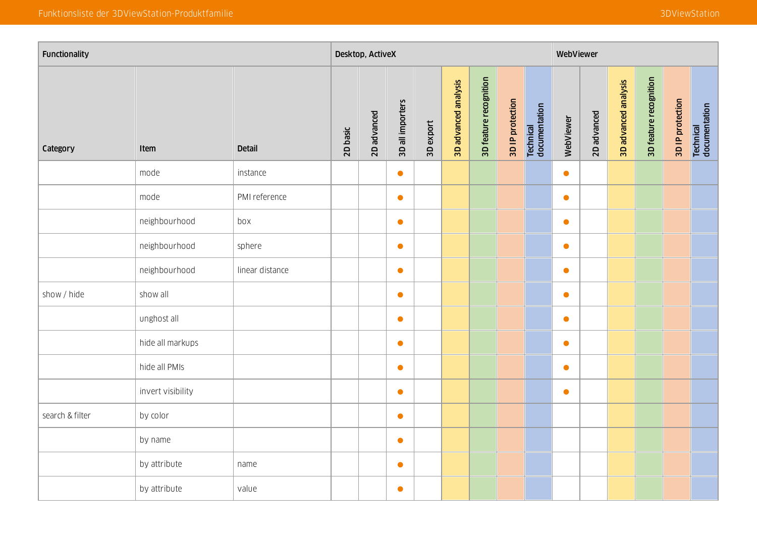| Functionality   |                   |                 |          | Desktop, ActiveX |                  |           |                      |                        |                  |                            | WebViewer |             |                      |                        |                  |                                   |
|-----------------|-------------------|-----------------|----------|------------------|------------------|-----------|----------------------|------------------------|------------------|----------------------------|-----------|-------------|----------------------|------------------------|------------------|-----------------------------------|
| Category        | Item              | <b>Detail</b>   | 2D basic | 2D advanced      | 3D all importers | 3D export | 3D advanced analysis | 3D feature recognition | 3D IP protection | Technical<br>documentation | WebViewer | 2D advanced | 3D advanced analysis | 3D feature recognition | 3D IP protection | <b>Technical</b><br>documentation |
|                 | mode              | instance        |          |                  | $\bullet$        |           |                      |                        |                  |                            | $\bullet$ |             |                      |                        |                  |                                   |
|                 | mode              | PMI reference   |          |                  | $\bullet$        |           |                      |                        |                  |                            | $\bullet$ |             |                      |                        |                  |                                   |
|                 | neighbourhood     | box             |          |                  | $\bullet$        |           |                      |                        |                  |                            | $\bullet$ |             |                      |                        |                  |                                   |
|                 | neighbourhood     | sphere          |          |                  | $\bullet$        |           |                      |                        |                  |                            | $\bullet$ |             |                      |                        |                  |                                   |
|                 | neighbourhood     | linear distance |          |                  | $\bullet$        |           |                      |                        |                  |                            | $\bullet$ |             |                      |                        |                  |                                   |
| show / hide     | show all          |                 |          |                  | $\bullet$        |           |                      |                        |                  |                            | $\bullet$ |             |                      |                        |                  |                                   |
|                 | unghost all       |                 |          |                  | $\bullet$        |           |                      |                        |                  |                            | $\bullet$ |             |                      |                        |                  |                                   |
|                 | hide all markups  |                 |          |                  | $\bullet$        |           |                      |                        |                  |                            | $\bullet$ |             |                      |                        |                  |                                   |
|                 | hide all PMIs     |                 |          |                  | $\bullet$        |           |                      |                        |                  |                            | $\bullet$ |             |                      |                        |                  |                                   |
|                 | invert visibility |                 |          |                  | $\bullet$        |           |                      |                        |                  |                            | $\bullet$ |             |                      |                        |                  |                                   |
| search & filter | by color          |                 |          |                  | $\bullet$        |           |                      |                        |                  |                            |           |             |                      |                        |                  |                                   |
|                 | by name           |                 |          |                  | $\bullet$        |           |                      |                        |                  |                            |           |             |                      |                        |                  |                                   |
|                 | by attribute      | name            |          |                  | $\bullet$        |           |                      |                        |                  |                            |           |             |                      |                        |                  |                                   |
|                 | by attribute      | value           |          |                  | $\bullet$        |           |                      |                        |                  |                            |           |             |                      |                        |                  |                                   |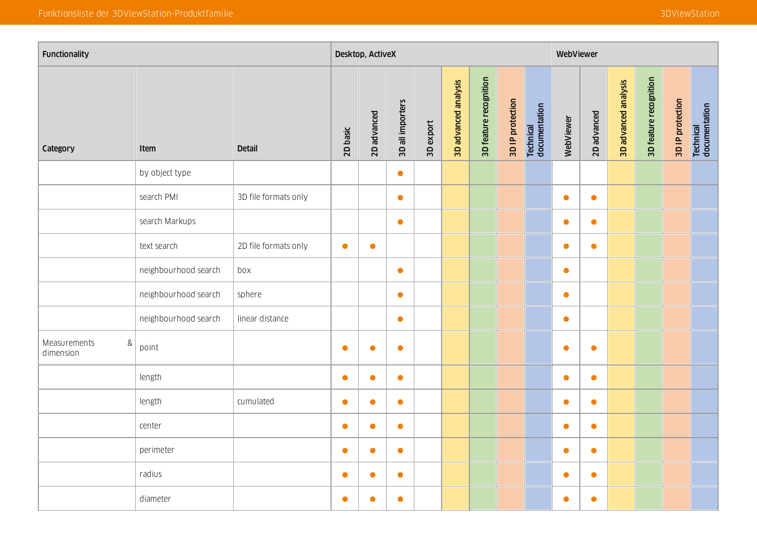| Functionality                     |                      |                      |           | Desktop, ActiveX |                  |           |                      |                        |                  |                            | WebViewer |             |                      |                        |                  |                                   |
|-----------------------------------|----------------------|----------------------|-----------|------------------|------------------|-----------|----------------------|------------------------|------------------|----------------------------|-----------|-------------|----------------------|------------------------|------------------|-----------------------------------|
| Category                          | Item                 | <b>Detail</b>        | 2D basic  | 2D advanced      | 3D all importers | 3D export | 3D advanced analysis | 3D feature recognition | 3D IP protection | Technical<br>documentation | WebViewer | 2D advanced | 3D advanced analysis | 3D feature recognition | 3D IP protection | <b>Technical</b><br>documentation |
|                                   | by object type       |                      |           |                  | $\bullet$        |           |                      |                        |                  |                            |           |             |                      |                        |                  |                                   |
|                                   | search PMI           | 3D file formats only |           |                  | $\bullet$        |           |                      |                        |                  |                            | $\bullet$ | $\bullet$   |                      |                        |                  |                                   |
|                                   | search Markups       |                      |           |                  | $\bullet$        |           |                      |                        |                  |                            | $\bullet$ | $\bullet$   |                      |                        |                  |                                   |
|                                   | text search          | 2D file formats only | $\bullet$ | $\bullet$        |                  |           |                      |                        |                  |                            | $\bullet$ | $\bullet$   |                      |                        |                  |                                   |
|                                   | neighbourhood search | box                  |           |                  | $\bullet$        |           |                      |                        |                  |                            | $\bullet$ |             |                      |                        |                  |                                   |
|                                   | neighbourhood search | sphere               |           |                  | $\bullet$        |           |                      |                        |                  |                            | $\bullet$ |             |                      |                        |                  |                                   |
|                                   | neighbourhood search | linear distance      |           |                  | $\bullet$        |           |                      |                        |                  |                            | $\bullet$ |             |                      |                        |                  |                                   |
| $\&$<br>Measurements<br>dimension | point                |                      | $\bullet$ | $\bullet$        | $\bullet$        |           |                      |                        |                  |                            | $\bullet$ | $\bullet$   |                      |                        |                  |                                   |
|                                   | length               |                      | $\bullet$ | $\bullet$        | $\bullet$        |           |                      |                        |                  |                            | $\bullet$ | $\bullet$   |                      |                        |                  |                                   |
|                                   | length               | cumulated            | $\bullet$ | $\bullet$        | $\bullet$        |           |                      |                        |                  |                            | $\bullet$ | $\bullet$   |                      |                        |                  |                                   |
|                                   | center               |                      | $\bullet$ | $\bullet$        | $\bullet$        |           |                      |                        |                  |                            | $\bullet$ | $\bullet$   |                      |                        |                  |                                   |
|                                   | perimeter            |                      | $\bullet$ | $\bullet$        | $\bullet$        |           |                      |                        |                  |                            | $\bullet$ | $\bullet$   |                      |                        |                  |                                   |
|                                   | radius               |                      | C         | $\bullet$        | $\bullet$        |           |                      |                        |                  |                            | $\bullet$ | $\bullet$   |                      |                        |                  |                                   |
|                                   | diameter             |                      | $\bullet$ | $\bullet$        | $\bullet$        |           |                      |                        |                  |                            | $\bullet$ | $\bullet$   |                      |                        |                  |                                   |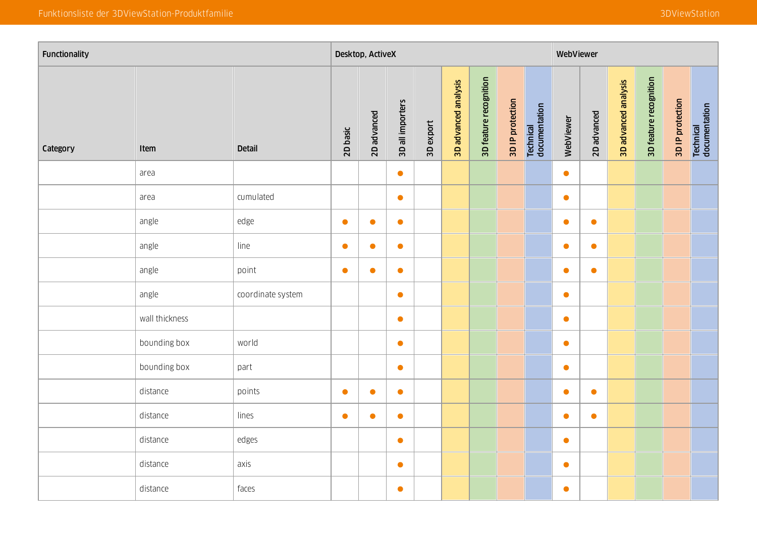| Functionality |                |                   |           | Desktop, ActiveX |                  |           |                      |                        |                  |                            | WebViewer |             |                      |                        |                  |                            |
|---------------|----------------|-------------------|-----------|------------------|------------------|-----------|----------------------|------------------------|------------------|----------------------------|-----------|-------------|----------------------|------------------------|------------------|----------------------------|
| Category      | Item           | <b>Detail</b>     | 2D basic  | 2D advanced      | 3D all importers | 3D export | 3D advanced analysis | 3D feature recognition | 3D IP protection | Technical<br>documentation | WebViewer | 2D advanced | 3D advanced analysis | 3D feature recognition | 3D IP protection | Technical<br>documentation |
|               | area           |                   |           |                  | $\bullet$        |           |                      |                        |                  |                            | $\bullet$ |             |                      |                        |                  |                            |
|               | area           | cumulated         |           |                  | $\bullet$        |           |                      |                        |                  |                            | $\bullet$ |             |                      |                        |                  |                            |
|               | angle          | edge              | $\bullet$ | $\bullet$        | $\bullet$        |           |                      |                        |                  |                            | $\bullet$ | $\bullet$   |                      |                        |                  |                            |
|               | angle          | line              | $\bullet$ | $\bullet$        | $\bullet$        |           |                      |                        |                  |                            | $\bullet$ | $\bullet$   |                      |                        |                  |                            |
|               | angle          | point             | $\bullet$ | $\bullet$        | $\bullet$        |           |                      |                        |                  |                            | $\bullet$ | $\bullet$   |                      |                        |                  |                            |
|               | angle          | coordinate system |           |                  | $\bullet$        |           |                      |                        |                  |                            | $\bullet$ |             |                      |                        |                  |                            |
|               | wall thickness |                   |           |                  | $\bullet$        |           |                      |                        |                  |                            | $\bullet$ |             |                      |                        |                  |                            |
|               | bounding box   | world             |           |                  | $\bullet$        |           |                      |                        |                  |                            | $\bullet$ |             |                      |                        |                  |                            |
|               | bounding box   | part              |           |                  | $\bullet$        |           |                      |                        |                  |                            | $\bullet$ |             |                      |                        |                  |                            |
|               | distance       | points            | $\bullet$ | $\bullet$        | $\bullet$        |           |                      |                        |                  |                            | $\bullet$ | $\bullet$   |                      |                        |                  |                            |
|               | distance       | lines             | $\bullet$ | $\bullet$        | $\bullet$        |           |                      |                        |                  |                            | $\bullet$ | $\bullet$   |                      |                        |                  |                            |
|               | distance       | edges             |           |                  | $\bullet$        |           |                      |                        |                  |                            | $\bullet$ |             |                      |                        |                  |                            |
|               | distance       | axis              |           |                  | $\bullet$        |           |                      |                        |                  |                            | $\bullet$ |             |                      |                        |                  |                            |
|               | distance       | faces             |           |                  | $\bullet$        |           |                      |                        |                  |                            | $\bullet$ |             |                      |                        |                  |                            |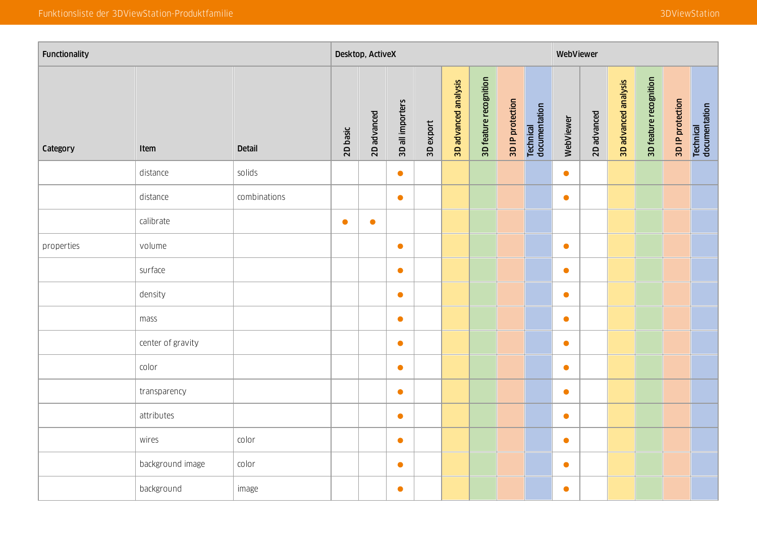| Functionality |                   |               |           | Desktop, ActiveX |                  |           |                      |                        |                  |                            | WebViewer |             |                      |                        |                  |                            |
|---------------|-------------------|---------------|-----------|------------------|------------------|-----------|----------------------|------------------------|------------------|----------------------------|-----------|-------------|----------------------|------------------------|------------------|----------------------------|
| Category      | Item              | <b>Detail</b> | 2D basic  | 2D advanced      | 3D all importers | 3D export | 3D advanced analysis | 3D feature recognition | 3D IP protection | Technical<br>documentation | WebViewer | 2D advanced | 3D advanced analysis | 3D feature recognition | 3D IP protection | Technical<br>documentation |
|               | distance          | solids        |           |                  | $\bullet$        |           |                      |                        |                  |                            | $\bullet$ |             |                      |                        |                  |                            |
|               | distance          | combinations  |           |                  | $\bullet$        |           |                      |                        |                  |                            | $\bullet$ |             |                      |                        |                  |                            |
|               | calibrate         |               | $\bullet$ | $\bullet$        |                  |           |                      |                        |                  |                            |           |             |                      |                        |                  |                            |
| properties    | volume            |               |           |                  | $\bullet$        |           |                      |                        |                  |                            | $\bullet$ |             |                      |                        |                  |                            |
|               | surface           |               |           |                  | $\bullet$        |           |                      |                        |                  |                            | $\bullet$ |             |                      |                        |                  |                            |
|               | density           |               |           |                  | $\bullet$        |           |                      |                        |                  |                            | $\bullet$ |             |                      |                        |                  |                            |
|               | mass              |               |           |                  | $\bullet$        |           |                      |                        |                  |                            | $\bullet$ |             |                      |                        |                  |                            |
|               | center of gravity |               |           |                  | $\bullet$        |           |                      |                        |                  |                            | $\bullet$ |             |                      |                        |                  |                            |
|               | color             |               |           |                  | $\bullet$        |           |                      |                        |                  |                            | $\bullet$ |             |                      |                        |                  |                            |
|               | transparency      |               |           |                  | $\bullet$        |           |                      |                        |                  |                            | $\bullet$ |             |                      |                        |                  |                            |
|               | attributes        |               |           |                  | $\bullet$        |           |                      |                        |                  |                            | $\bullet$ |             |                      |                        |                  |                            |
|               | wires             | color         |           |                  | $\bullet$        |           |                      |                        |                  |                            | $\bullet$ |             |                      |                        |                  |                            |
|               | background image  | color         |           |                  | $\bullet$        |           |                      |                        |                  |                            | $\bullet$ |             |                      |                        |                  |                            |
|               | background        | image         |           |                  | $\bullet$        |           |                      |                        |                  |                            | $\bullet$ |             |                      |                        |                  |                            |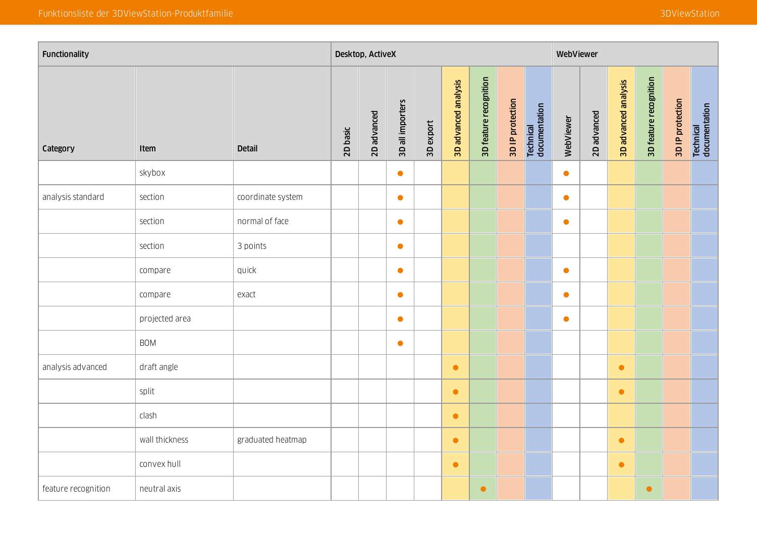| Functionality       |                |                   |          | Desktop, ActiveX |                  |           |                      |                        |                  |                            | WebViewer |             |                      |                        |                  |                                   |
|---------------------|----------------|-------------------|----------|------------------|------------------|-----------|----------------------|------------------------|------------------|----------------------------|-----------|-------------|----------------------|------------------------|------------------|-----------------------------------|
| Category            | Item           | <b>Detail</b>     | 2D basic | 2D advanced      | 3D all importers | 3D export | 3D advanced analysis | 3D feature recognition | 3D IP protection | Technical<br>documentation | WebViewer | 2D advanced | 3D advanced analysis | 3D feature recognition | 3D IP protection | <b>Technical</b><br>documentation |
|                     | skybox         |                   |          |                  | $\bullet$        |           |                      |                        |                  |                            | $\bullet$ |             |                      |                        |                  |                                   |
| analysis standard   | section        | coordinate system |          |                  | $\bullet$        |           |                      |                        |                  |                            | $\bullet$ |             |                      |                        |                  |                                   |
|                     | section        | normal of face    |          |                  | $\bullet$        |           |                      |                        |                  |                            | $\bullet$ |             |                      |                        |                  |                                   |
|                     | section        | 3 points          |          |                  | $\bullet$        |           |                      |                        |                  |                            |           |             |                      |                        |                  |                                   |
|                     | compare        | quick             |          |                  | $\bullet$        |           |                      |                        |                  |                            | $\bullet$ |             |                      |                        |                  |                                   |
|                     | compare        | exact             |          |                  | $\bullet$        |           |                      |                        |                  |                            | $\bullet$ |             |                      |                        |                  |                                   |
|                     | projected area |                   |          |                  | $\bullet$        |           |                      |                        |                  |                            | $\bullet$ |             |                      |                        |                  |                                   |
|                     | <b>BOM</b>     |                   |          |                  | $\bullet$        |           |                      |                        |                  |                            |           |             |                      |                        |                  |                                   |
| analysis advanced   | draft angle    |                   |          |                  |                  |           | $\bullet$            |                        |                  |                            |           |             | $\bullet$            |                        |                  |                                   |
|                     | split          |                   |          |                  |                  |           | $\bullet$            |                        |                  |                            |           |             | $\bullet$            |                        |                  |                                   |
|                     | clash          |                   |          |                  |                  |           | $\bullet$            |                        |                  |                            |           |             |                      |                        |                  |                                   |
|                     | wall thickness | graduated heatmap |          |                  |                  |           | $\bullet$            |                        |                  |                            |           |             | $\bullet$            |                        |                  |                                   |
|                     | convex hull    |                   |          |                  |                  |           | $\bullet$            |                        |                  |                            |           |             | $\bullet$            |                        |                  |                                   |
| feature recognition | neutral axis   |                   |          |                  |                  |           |                      | $\bullet$              |                  |                            |           |             |                      | $\bullet$              |                  |                                   |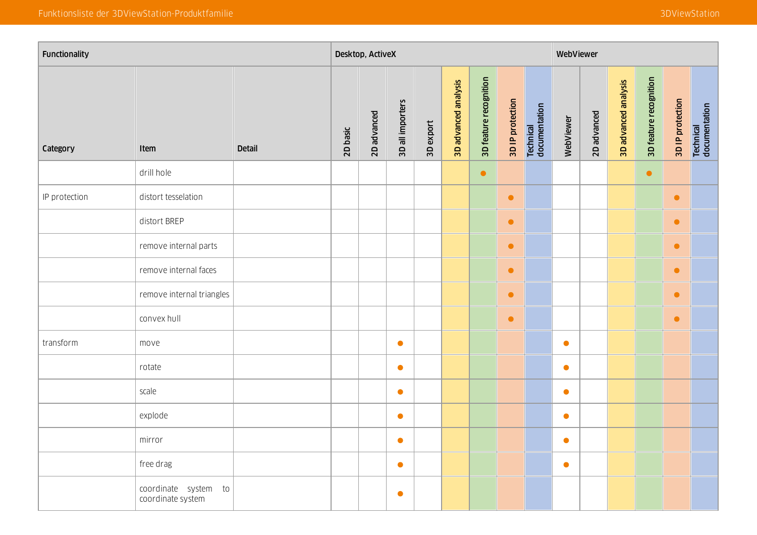| Functionality |                                           |               |          | Desktop, ActiveX |                  |           |                      |                        |                  |                            | WebViewer |             |                      |                        |                  |                                   |
|---------------|-------------------------------------------|---------------|----------|------------------|------------------|-----------|----------------------|------------------------|------------------|----------------------------|-----------|-------------|----------------------|------------------------|------------------|-----------------------------------|
| Category      | Item                                      | <b>Detail</b> | 2D basic | 2D advanced      | 3D all importers | 3D export | 3D advanced analysis | 3D feature recognition | 3D IP protection | Technical<br>documentation | WebViewer | 2D advanced | 3D advanced analysis | 3D feature recognition | 3D IP protection | <b>Technical</b><br>documentation |
|               | drill hole                                |               |          |                  |                  |           |                      | $\bullet$              |                  |                            |           |             |                      | $\bullet$              |                  |                                   |
| IP protection | distort tesselation                       |               |          |                  |                  |           |                      |                        | $\bullet$        |                            |           |             |                      |                        | $\bullet$        |                                   |
|               | distort BREP                              |               |          |                  |                  |           |                      |                        | $\bullet$        |                            |           |             |                      |                        | $\bullet$        |                                   |
|               | remove internal parts                     |               |          |                  |                  |           |                      |                        | $\bullet$        |                            |           |             |                      |                        | $\bullet$        |                                   |
|               | remove internal faces                     |               |          |                  |                  |           |                      |                        | $\bullet$        |                            |           |             |                      |                        | $\bullet$        |                                   |
|               | remove internal triangles                 |               |          |                  |                  |           |                      |                        | $\bullet$        |                            |           |             |                      |                        | $\bullet$        |                                   |
|               | convex hull                               |               |          |                  |                  |           |                      |                        | $\bullet$        |                            |           |             |                      |                        | $\bullet$        |                                   |
| transform     | move                                      |               |          |                  | $\bullet$        |           |                      |                        |                  |                            | $\bullet$ |             |                      |                        |                  |                                   |
|               | rotate                                    |               |          |                  | $\bullet$        |           |                      |                        |                  |                            | $\bullet$ |             |                      |                        |                  |                                   |
|               | scale                                     |               |          |                  | $\bullet$        |           |                      |                        |                  |                            | $\bullet$ |             |                      |                        |                  |                                   |
|               | explode                                   |               |          |                  | $\bullet$        |           |                      |                        |                  |                            | $\bullet$ |             |                      |                        |                  |                                   |
|               | mirror                                    |               |          |                  | $\bullet$        |           |                      |                        |                  |                            | $\bullet$ |             |                      |                        |                  |                                   |
|               | free drag                                 |               |          |                  | $\bullet$        |           |                      |                        |                  |                            | $\bullet$ |             |                      |                        |                  |                                   |
|               | coordinate system to<br>coordinate system |               |          |                  | $\bullet$        |           |                      |                        |                  |                            |           |             |                      |                        |                  |                                   |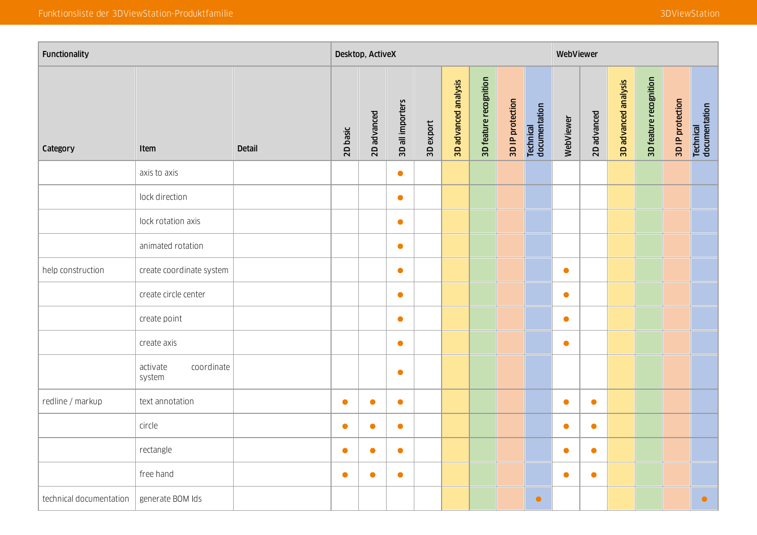| Functionality           |                                  |               |           | Desktop, ActiveX |                  |           |                      |                        |                  |                            | WebViewer |             |                      |                        |                  |                            |
|-------------------------|----------------------------------|---------------|-----------|------------------|------------------|-----------|----------------------|------------------------|------------------|----------------------------|-----------|-------------|----------------------|------------------------|------------------|----------------------------|
| Category                | Item                             | <b>Detail</b> | 2D basic  | 2D advanced      | 3D all importers | 3D export | 3D advanced analysis | 3D feature recognition | 3D IP protection | Technical<br>documentation | WebViewer | 2D advanced | 3D advanced analysis | 3D feature recognition | 3D IP protection | Technical<br>documentation |
|                         | axis to axis                     |               |           |                  | $\bullet$        |           |                      |                        |                  |                            |           |             |                      |                        |                  |                            |
|                         | lock direction                   |               |           |                  | $\bullet$        |           |                      |                        |                  |                            |           |             |                      |                        |                  |                            |
|                         | lock rotation axis               |               |           |                  | $\bullet$        |           |                      |                        |                  |                            |           |             |                      |                        |                  |                            |
|                         | animated rotation                |               |           |                  | $\bullet$        |           |                      |                        |                  |                            |           |             |                      |                        |                  |                            |
| help construction       | create coordinate system         |               |           |                  | $\bullet$        |           |                      |                        |                  |                            | $\bullet$ |             |                      |                        |                  |                            |
|                         | create circle center             |               |           |                  | $\bullet$        |           |                      |                        |                  |                            | $\bullet$ |             |                      |                        |                  |                            |
|                         | create point                     |               |           |                  | $\bullet$        |           |                      |                        |                  |                            | $\bullet$ |             |                      |                        |                  |                            |
|                         | create axis                      |               |           |                  | $\bullet$        |           |                      |                        |                  |                            | $\bullet$ |             |                      |                        |                  |                            |
|                         | activate<br>coordinate<br>system |               |           |                  | $\bullet$        |           |                      |                        |                  |                            |           |             |                      |                        |                  |                            |
| redline / markup        | text annotation                  |               | $\bullet$ | $\bullet$        | $\bullet$        |           |                      |                        |                  |                            | $\bullet$ | $\bullet$   |                      |                        |                  |                            |
|                         | circle                           |               | $\bullet$ | $\bullet$        | $\bullet$        |           |                      |                        |                  |                            | $\bullet$ | $\bullet$   |                      |                        |                  |                            |
|                         | rectangle                        |               | $\bullet$ | $\bullet$        | $\bullet$        |           |                      |                        |                  |                            | $\bullet$ | $\bullet$   |                      |                        |                  |                            |
|                         | free hand                        |               | $\bullet$ | $\bullet$        | $\bullet$        |           |                      |                        |                  |                            | $\bullet$ | $\bullet$   |                      |                        |                  |                            |
| technical documentation | generate BOM Ids                 |               |           |                  |                  |           |                      |                        |                  | $\bullet$                  |           |             |                      |                        |                  | $\bullet$                  |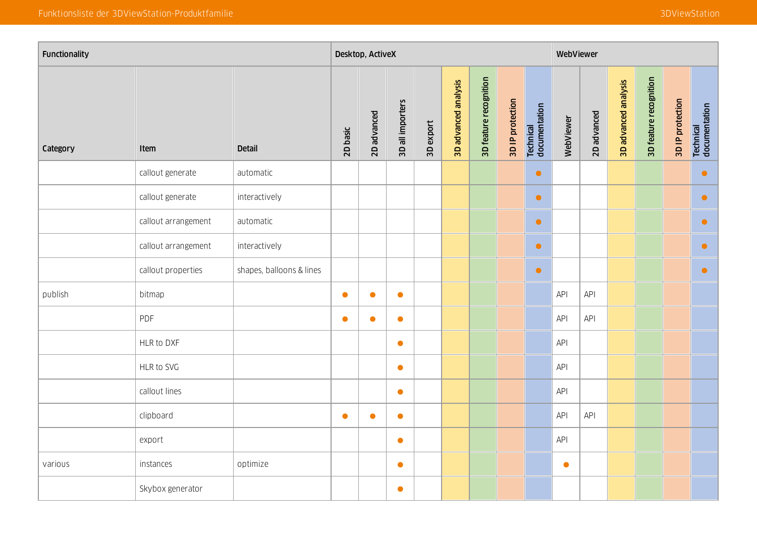| Functionality |                     |                          |           | Desktop, ActiveX |                  |           |                      |                        | WebViewer        |                            |            |             |                      |                        |                  |                            |
|---------------|---------------------|--------------------------|-----------|------------------|------------------|-----------|----------------------|------------------------|------------------|----------------------------|------------|-------------|----------------------|------------------------|------------------|----------------------------|
| Category      | Item                | <b>Detail</b>            | 2D basic  | 2D advanced      | 3D all importers | 3D export | 3D advanced analysis | 3D feature recognition | 3D IP protection | Technical<br>documentation | WebViewer  | 2D advanced | 3D advanced analysis | 3D feature recognition | 3D IP protection | Technical<br>documentation |
|               | callout generate    | automatic                |           |                  |                  |           |                      |                        |                  | $\bullet$                  |            |             |                      |                        |                  | $\bullet$                  |
|               | callout generate    | interactively            |           |                  |                  |           |                      |                        |                  | $\bullet$                  |            |             |                      |                        |                  | $\bullet$                  |
|               | callout arrangement | automatic                |           |                  |                  |           |                      |                        |                  | $\bullet$                  |            |             |                      |                        |                  | $\bullet$                  |
|               | callout arrangement | interactively            |           |                  |                  |           |                      |                        |                  | $\bullet$                  |            |             |                      |                        |                  | $\bullet$                  |
|               | callout properties  | shapes, balloons & lines |           |                  |                  |           |                      |                        |                  | $\bullet$                  |            |             |                      |                        |                  | $\bullet$                  |
| publish       | bitmap              |                          | $\bullet$ | $\bullet$        | $\bullet$        |           |                      |                        |                  |                            | API        | API         |                      |                        |                  |                            |
|               | PDF                 |                          | $\bullet$ | $\bullet$        | $\bullet$        |           |                      |                        |                  |                            | API        | API         |                      |                        |                  |                            |
|               | HLR to DXF          |                          |           |                  | $\bullet$        |           |                      |                        |                  |                            | API        |             |                      |                        |                  |                            |
|               | HLR to SVG          |                          |           |                  | $\bullet$        |           |                      |                        |                  |                            | <b>API</b> |             |                      |                        |                  |                            |
|               | callout lines       |                          |           |                  | $\bullet$        |           |                      |                        |                  |                            | API        |             |                      |                        |                  |                            |
|               | clipboard           |                          | $\bullet$ | $\bullet$        | $\bullet$        |           |                      |                        |                  |                            | API        | API         |                      |                        |                  |                            |
|               | export              |                          |           |                  | $\bullet$        |           |                      |                        |                  |                            | API        |             |                      |                        |                  |                            |
| various       | instances           | optimize                 |           |                  | $\bullet$        |           |                      |                        |                  |                            | $\bullet$  |             |                      |                        |                  |                            |
|               | Skybox generator    |                          |           |                  | $\bullet$        |           |                      |                        |                  |                            |            |             |                      |                        |                  |                            |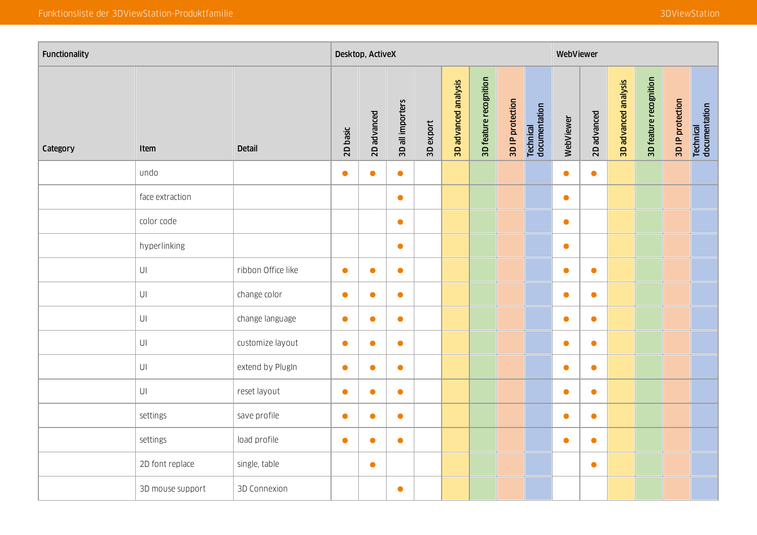| Functionality |                        |                    |           | Desktop, ActiveX |                  |           |                      |                        | WebViewer        |                            |           |             |                      |                        |                  |                            |
|---------------|------------------------|--------------------|-----------|------------------|------------------|-----------|----------------------|------------------------|------------------|----------------------------|-----------|-------------|----------------------|------------------------|------------------|----------------------------|
| Category      | Item                   | <b>Detail</b>      | 2D basic  | 2D advanced      | 3D all importers | 3D export | 3D advanced analysis | 3D feature recognition | 3D IP protection | Technical<br>documentation | WebViewer | 2D advanced | 3D advanced analysis | 3D feature recognition | 3D IP protection | Technical<br>documentation |
|               | undo                   |                    | $\bullet$ | $\bullet$        | $\bullet$        |           |                      |                        |                  |                            | $\bullet$ | $\bullet$   |                      |                        |                  |                            |
|               | face extraction        |                    |           |                  | $\bullet$        |           |                      |                        |                  |                            | $\bullet$ |             |                      |                        |                  |                            |
|               | color code             |                    |           |                  | $\bullet$        |           |                      |                        |                  |                            | $\bullet$ |             |                      |                        |                  |                            |
|               | hyperlinking           |                    |           |                  | $\bullet$        |           |                      |                        |                  |                            | $\bullet$ |             |                      |                        |                  |                            |
|               | $\mathsf{U}\mathsf{I}$ | ribbon Office like | $\bullet$ | $\bullet$        | $\bullet$        |           |                      |                        |                  |                            | $\bullet$ | $\bullet$   |                      |                        |                  |                            |
|               | $\mathsf{U}\mathsf{I}$ | change color       | $\bullet$ | $\bullet$        | $\bullet$        |           |                      |                        |                  |                            | $\bullet$ | $\bullet$   |                      |                        |                  |                            |
|               | $\mathsf{U}\mathsf{I}$ | change language    | $\bullet$ | $\bullet$        | $\bullet$        |           |                      |                        |                  |                            | $\bullet$ | $\bullet$   |                      |                        |                  |                            |
|               | $\mathsf{U}\mathsf{I}$ | customize layout   | $\bullet$ | $\bullet$        | $\bullet$        |           |                      |                        |                  |                            | $\bullet$ | $\bullet$   |                      |                        |                  |                            |
|               | $\bigcup\big[$         | extend by PlugIn   | $\bullet$ | $\bullet$        | $\bullet$        |           |                      |                        |                  |                            | $\bullet$ | $\bullet$   |                      |                        |                  |                            |
|               | $\mathsf{U}\mathsf{I}$ | reset layout       | $\bullet$ | $\bullet$        | $\bullet$        |           |                      |                        |                  |                            | $\bullet$ | $\bullet$   |                      |                        |                  |                            |
|               | settings               | save profile       | $\bullet$ | $\bullet$        | $\bullet$        |           |                      |                        |                  |                            | $\bullet$ | $\bullet$   |                      |                        |                  |                            |
|               | settings               | load profile       | $\bullet$ | $\bullet$        | $\bullet$        |           |                      |                        |                  |                            | $\bullet$ | $\bullet$   |                      |                        |                  |                            |
|               | 2D font replace        | single, table      |           | $\bullet$        |                  |           |                      |                        |                  |                            |           | $\bullet$   |                      |                        |                  |                            |
|               | 3D mouse support       | 3D Connexion       |           |                  | $\bullet$        |           |                      |                        |                  |                            |           |             |                      |                        |                  |                            |